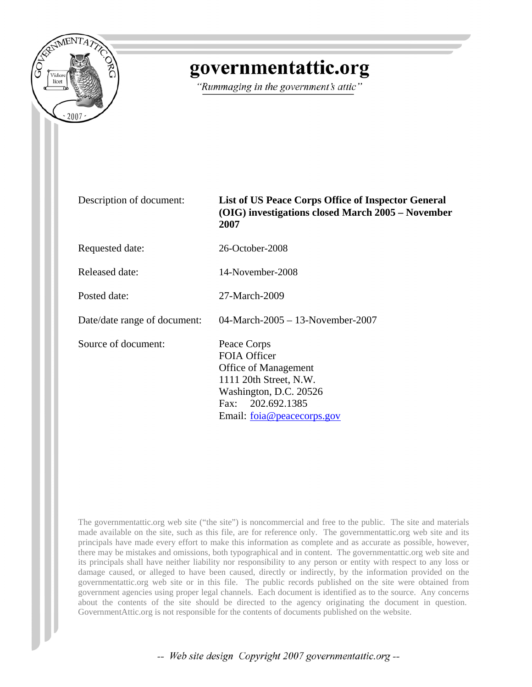

## governmentattic.org

"Rummaging in the government's attic"

| Description of document:     | List of US Peace Corps Office of Inspector General<br>(OIG) investigations closed March 2005 – November<br>2007                                                          |
|------------------------------|--------------------------------------------------------------------------------------------------------------------------------------------------------------------------|
| Requested date:              | 26-October-2008                                                                                                                                                          |
| Released date:               | 14-November-2008                                                                                                                                                         |
| Posted date:                 | 27-March-2009                                                                                                                                                            |
| Date/date range of document: | 04-March-2005 - 13-November-2007                                                                                                                                         |
| Source of document:          | Peace Corps<br><b>FOIA Officer</b><br><b>Office of Management</b><br>1111 20th Street, N.W.<br>Washington, D.C. 20526<br>Fax: 202.692.1385<br>Email: foia@peacecorps.gov |

The governmentattic.org web site ("the site") is noncommercial and free to the public. The site and materials made available on the site, such as this file, are for reference only. The governmentattic.org web site and its principals have made every effort to make this information as complete and as accurate as possible, however, there may be mistakes and omissions, both typographical and in content. The governmentattic.org web site and its principals shall have neither liability nor responsibility to any person or entity with respect to any loss or damage caused, or alleged to have been caused, directly or indirectly, by the information provided on the governmentattic.org web site or in this file. The public records published on the site were obtained from government agencies using proper legal channels. Each document is identified as to the source. Any concerns about the contents of the site should be directed to the agency originating the document in question. GovernmentAttic.org is not responsible for the contents of documents published on the website.

-- Web site design Copyright 2007 governmentattic.org --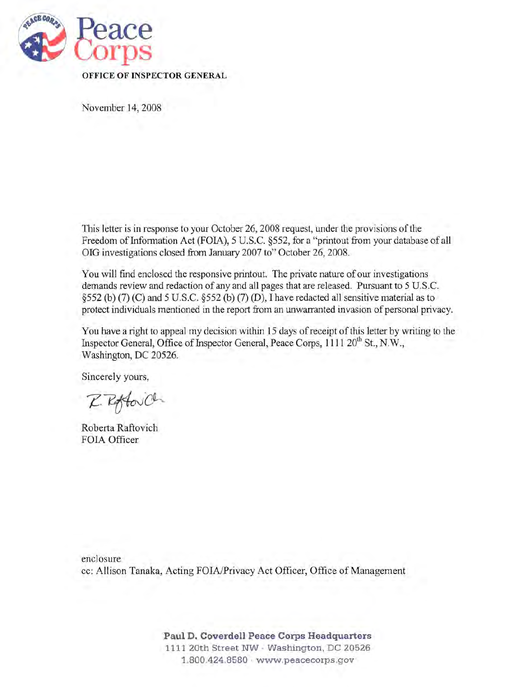

November 14, 2008

This letter is in response to your October 26, 2008 request, under the provisions of the Freedom of Information Act (FOIA), 5 U.S.C. §552, for a "printout from your database of all OIG investigations closed from January 2007 to" October 26,2008.

You will find enclosed the responsive printout. The private nature of our investigations demands review and redaction of any and all pages that are released. Pursuant to 5 U.S.c. §552 (b) (7) (C) and 5 U.S.c. §552 (b) (7) (D), I have redacted all sensitive material as to protect individuals mentioned in the report from an unwarranted invasion of personal privacy.

You have a right to appeal my decision within 15 days of receipt of this letter by writing to the Inspector General, Office of Inspector General, Peace Corps, 1111 20<sup>th</sup> St., N.W., Washington, DC 20526.

Sincerely yours,

Z. Roftovich

Roberta Raftovich FOIA Officer

enclosure cc: Allison Tanaka, Acting FOIA/Privacy Act Officer, Office of Management

> Paul D. Coverdell Peace Corps Headquarters 1111 20th Street NW . Washington, DC 20526 1.800.424.8580 · www.peacecorps.gov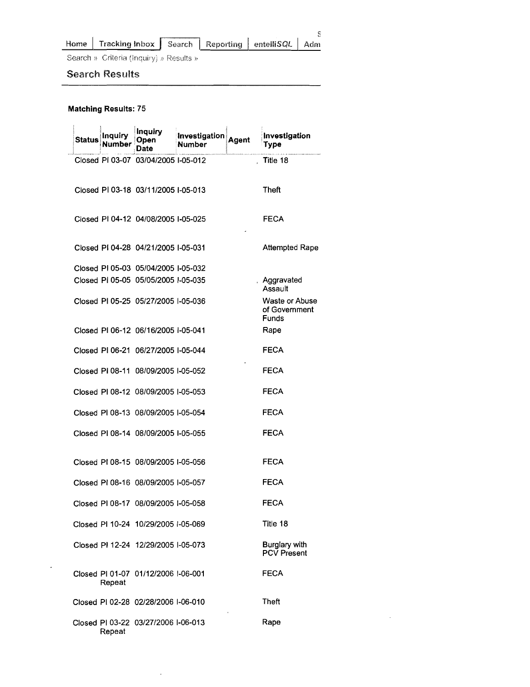| Home | Tracking Inbox   Search   Reporting   entelliSQL   Adm |  |  |
|------|--------------------------------------------------------|--|--|

Search » Criteria (Inquiry) » Results »

## Search Results

## Matching Results: 75

 $\sim$ 

| Status | Inauir | Inquiry<br>Open<br>Date             | Investigation<br><b>Number</b> | Agent | Investigation<br>Type                    |
|--------|--------|-------------------------------------|--------------------------------|-------|------------------------------------------|
|        |        | Closed PI 03-07 03/04/2005 I-05-012 |                                |       | Title 18                                 |
|        |        | Closed PI 03-18 03/11/2005 I-05-013 |                                |       | Theft                                    |
|        |        | Closed PI 04-12 04/08/2005 I-05-025 |                                |       | FECA                                     |
|        |        | Closed PI 04-28 04/21/2005 I-05-031 |                                |       | <b>Attempted Rape</b>                    |
|        |        | Closed PI 05-03 05/04/2005 I-05-032 |                                |       |                                          |
|        |        | Closed PI 05-05 05/05/2005 I-05-035 |                                |       | Aggravated<br>Assault                    |
|        |        | Closed PI 05-25 05/27/2005 I-05-036 |                                |       | Waste or Abuse<br>of Government<br>Funds |
|        |        | Closed PI 06-12 06/16/2005 I-05-041 |                                |       | Rape                                     |
|        |        | Closed PI 06-21 06/27/2005 I-05-044 |                                |       | FECA                                     |
|        |        | Closed PI 08-11 08/09/2005 I-05-052 |                                |       | FECA                                     |
|        |        | Closed PI 08-12 08/09/2005 I-05-053 |                                |       | FECA                                     |
|        |        | Closed PI 08-13 08/09/2005 I-05-054 |                                |       | <b>FECA</b>                              |
|        |        | Closed PI 08-14 08/09/2005 I-05-055 |                                |       | FECA                                     |
|        |        | Closed PI 08-15 08/09/2005 I-05-056 |                                |       | FECA                                     |
|        |        | Closed PI 08-16 08/09/2005 I-05-057 |                                |       | FECA                                     |
|        |        | Closed PI 08-17 08/09/2005 I-05-058 |                                |       | <b>FECA</b>                              |
|        |        | Closed PI 10-24 10/29/2005 I-05-069 |                                |       | Title 18                                 |
|        |        | Closed PI 12-24 12/29/2005 I-05-073 |                                |       | Burglary with<br><b>PCV Present</b>      |
|        | Repeat | Closed PI 01-07 01/12/2006 I-06-001 |                                |       | FECA                                     |
|        |        | Closed PI 02-28 02/28/2006 I-06-010 |                                |       | Theft                                    |
|        | Repeat | Closed PI 03-22 03/27/2006 I-06-013 |                                |       | Rape                                     |

 $\mathcal{L}^{\mathcal{A}}$ 

 $\sim 10^{-10}$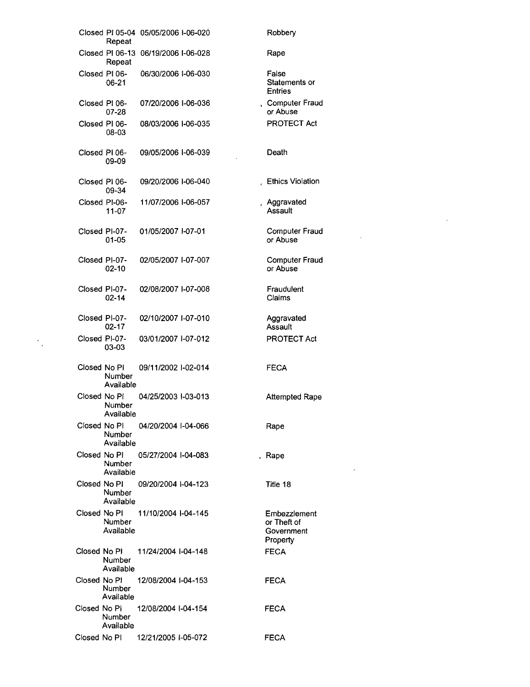|               | Repeat                     | Closed PI 05-04 05/05/2006 I-06-020 | Robbery                                               |
|---------------|----------------------------|-------------------------------------|-------------------------------------------------------|
|               | Repeat                     | Closed PI 06-13 06/19/2006 I-06-028 | Rape                                                  |
|               | Closed PI 06-<br>06-21     | 06/30/2006 I-06-030                 | False<br>Statements or<br><b>Entries</b>              |
|               | Closed PI 06-<br>07-28     | 07/20/2006 I-06-036                 | , Computer Fraud<br>or Abuse                          |
| Closed PI 06- | 08-03                      | 08/03/2006 I-06-035                 | PROTECT Act                                           |
| Closed PI 06- | 09-09                      | 09/05/2006 I-06-039                 | Death                                                 |
| Closed PI 06- | 09-34                      | 09/20/2006 I-06-040                 | <b>Ethics Violation</b>                               |
|               | Closed PI-06-<br>11-07     | 11/07/2006 I-06-057                 | , Aggravated<br>Assault                               |
| Closed PI-07- | 01-05                      | 01/05/2007 I-07-01                  | <b>Computer Fraud</b><br>or Abuse                     |
| Closed PI-07- | $02 - 10$                  | 02/05/2007 I-07-007                 | <b>Computer Fraud</b><br>or Abuse                     |
| Closed PI-07- | 02-14                      | 02/08/2007 I-07-008                 | Fraudulent<br>Claims                                  |
| Closed PI-07- | 02-17                      | 02/10/2007 I-07-010                 | Aggravated<br>Assault                                 |
| Closed PI-07- | 03-03                      | 03/01/2007 I-07-012                 | <b>PROTECT Act</b>                                    |
| Closed No Pl  | Number<br>Available        | 09/11/2002 I-02-014                 | <b>FECA</b>                                           |
| Closed No Pi  | Number<br>Available        | 04/25/2003 I-03-013                 | <b>Attempted Rape</b>                                 |
| Closed No PI  | Number<br>Available        | 04/20/2004 I-04-066                 | Rape                                                  |
| Closed No Pl  | Number<br>Available        | 05/27/2004 I-04-083                 | , Rape                                                |
| Closed No PI  | <b>Number</b><br>Available | 09/20/2004 -04-123                  | Title 18                                              |
|               | <b>Number</b><br>Available | Closed No PI 11/10/2004 I-04-145    | Embezzlement<br>or Theft of<br>Government<br>Property |
|               | Number<br>Available        | Closed No PI 11/24/2004 I-04-148    | <b>FECA</b>                                           |
| Closed No PI  | Number<br>Available        | 12/08/2004 I-04-153                 | FECA                                                  |
| Closed No Pl  | Number<br>Available        | 12/08/2004 I-04-154                 | <b>FECA</b>                                           |
| Closed No PI  |                            | 12/21/2005 I-05-072                 | <b>FECA</b>                                           |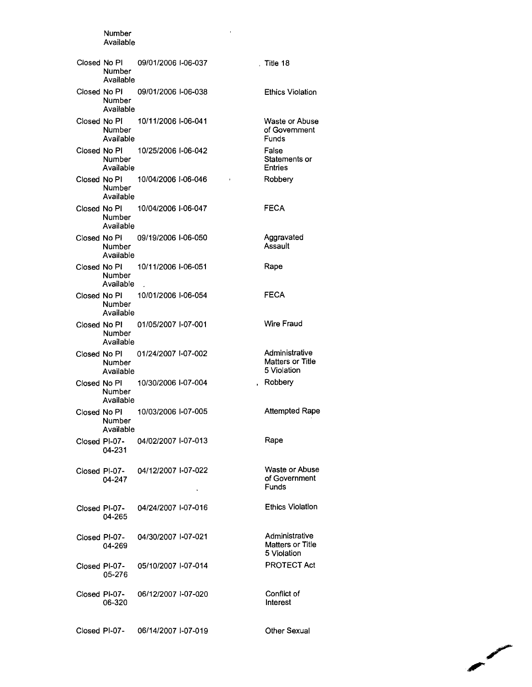## Available Closed No PI 09/01/2006 1-06-037 , Title 18 Number Available Closed No PI 09/01/2006 1-06-038 Ethics Violation Number Available Closed No PI 10/11/2006 1-06-041 Waste or Abuse Number of Government Available Funds Closed No PI 10/25/2006 1-06-042 False Number Statements or Available Entries Closed No PI 10/04/2006 1-06-046 Robbery  $\bar{1}$ Number Available Closed No PI FECA 10/04/2006 1-06-047 Number Available Closed No PI Aggravated 09/19/2006 1-06-050 Number **Assault** Available Closed No PI 10/11/20061-06-051 Rape Number Available . FECA Closed No PI 10/01/2006 1-06-054 Number Available Closed No PI 01/05/2007 1-07-001 Wire Fraud Number Available Closed No PI Administrative 01/24/2007 1-07-002 Matters or Title Number 5 Violation Available Closed No PI 10/30/20061-07-004 , Robbery Number Available Closed No PI Attempted Rape 10/03/2006 1-07-005 Number Available Rape Closed PI-07 04/02/2007 I-07-013 04-231 Waste or Abuse Closed PI-07 04/12/2007 I-07-022 of Government 04-247 Funds Ethics Violation Closed PI-07 04/24/2007 1-07-016 04-265 Administrative Closed PI-07 04/30/2007 1-07-021 Matters or Title 04-269 5 Violation PROTECT Act Closed PI-07 05/10/2007 1-07-014 05-276 Closed PI-07 Conflict of 06/12/20071-07-020 06-320 Interest

Number

Closed PI-07 06/14/2007 I-07-019 Other Sexual

**Contract Contract Contract Contract Contract Contract Contract Contract Contract Contract Contract Contract Contract Contract Contract Contract Contract Contract Contract Contract Contract Contract Contract Contract Contr**